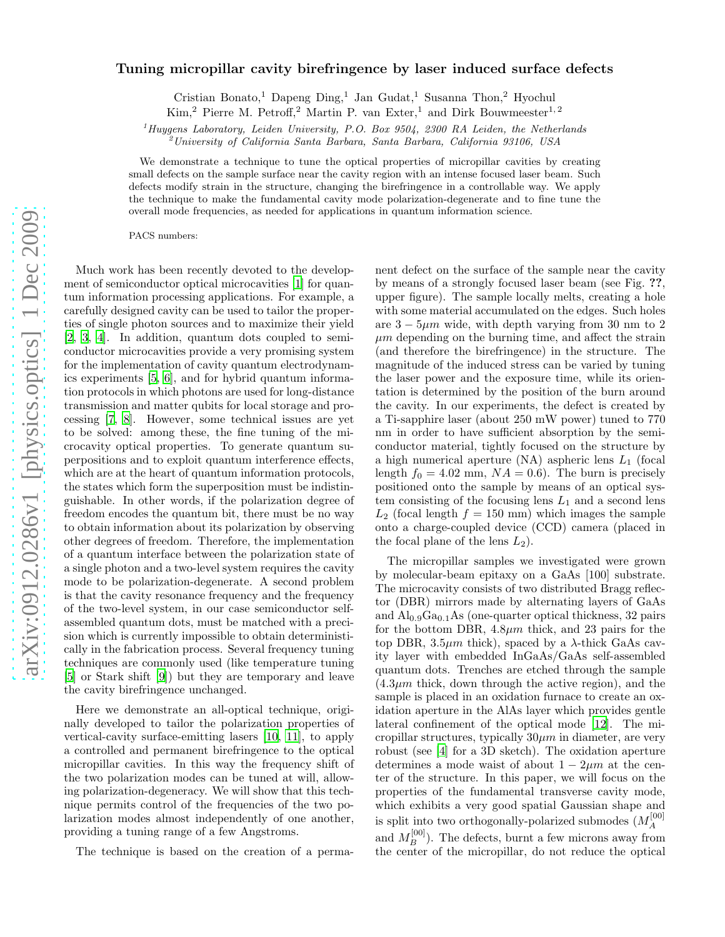# arXiv:0912.0286v1 [physics.optics] 1 Dec 2009 [arXiv:0912.0286v1 \[physics.optics\] 1 Dec 2009](http://arxiv.org/abs/0912.0286v1)

# Tuning micropillar cavity birefringence by laser induced surface defects

Cristian Bonato,<br/> $^1$ Dapeng  $\mathrm{Ding},^{1}$ Jan Gudat,<br/> $^1$ Susanna Thon,<br/>² Hyochul Kim,<sup>2</sup> Pierre M. Petroff,<sup>2</sup> Martin P. van Exter,<sup>1</sup> and Dirk Bouwmeester<sup>1,2</sup>

 $1$ <sup>1</sup>Huygens Laboratory, Leiden University, P.O. Box 9504, 2300 RA Leiden, the Netherlands

 $^{2}$ University of California Santa Barbara, Santa Barbara, California 93106, USA

We demonstrate a technique to tune the optical properties of micropillar cavities by creating small defects on the sample surface near the cavity region with an intense focused laser beam. Such defects modify strain in the structure, changing the birefringence in a controllable way. We apply the technique to make the fundamental cavity mode polarization-degenerate and to fine tune the overall mode frequencies, as needed for applications in quantum information science.

PACS numbers:

Much work has been recently devoted to the development of semiconductor optical microcavities [\[1](#page-3-0)] for quantum information processing applications. For example, a carefully designed cavity can be used to tailor the properties of single photon sources and to maximize their yield [\[2,](#page-3-1) [3,](#page-3-2) [4](#page-3-3)]. In addition, quantum dots coupled to semiconductor microcavities provide a very promising system for the implementation of cavity quantum electrodynamics experiments [\[5](#page-3-4), [6\]](#page-3-5), and for hybrid quantum information protocols in which photons are used for long-distance transmission and matter qubits for local storage and processing [\[7,](#page-3-6) [8\]](#page-3-7). However, some technical issues are yet to be solved: among these, the fine tuning of the microcavity optical properties. To generate quantum superpositions and to exploit quantum interference effects, which are at the heart of quantum information protocols, the states which form the superposition must be indistinguishable. In other words, if the polarization degree of freedom encodes the quantum bit, there must be no way to obtain information about its polarization by observing other degrees of freedom. Therefore, the implementation of a quantum interface between the polarization state of a single photon and a two-level system requires the cavity mode to be polarization-degenerate. A second problem is that the cavity resonance frequency and the frequency of the two-level system, in our case semiconductor selfassembled quantum dots, must be matched with a precision which is currently impossible to obtain deterministically in the fabrication process. Several frequency tuning techniques are commonly used (like temperature tuning [\[5\]](#page-3-4) or Stark shift [\[9](#page-3-8)]) but they are temporary and leave the cavity birefringence unchanged.

Here we demonstrate an all-optical technique, originally developed to tailor the polarization properties of vertical-cavity surface-emitting lasers [\[10,](#page-3-9) [11\]](#page-3-10), to apply a controlled and permanent birefringence to the optical micropillar cavities. In this way the frequency shift of the two polarization modes can be tuned at will, allowing polarization-degeneracy. We will show that this technique permits control of the frequencies of the two polarization modes almost independently of one another, providing a tuning range of a few Angstroms.

The technique is based on the creation of a perma-

nent defect on the surface of the sample near the cavity by means of a strongly focused laser beam (see Fig. ??, upper figure). The sample locally melts, creating a hole with some material accumulated on the edges. Such holes are  $3 - 5\mu m$  wide, with depth varying from 30 nm to 2  $\mu$ m depending on the burning time, and affect the strain (and therefore the birefringence) in the structure. The magnitude of the induced stress can be varied by tuning the laser power and the exposure time, while its orientation is determined by the position of the burn around the cavity. In our experiments, the defect is created by a Ti-sapphire laser (about 250 mW power) tuned to 770 nm in order to have sufficient absorption by the semiconductor material, tightly focused on the structure by a high numerical aperture  $(NA)$  aspheric lens  $L_1$  (focal length  $f_0 = 4.02$  mm,  $NA = 0.6$ ). The burn is precisely positioned onto the sample by means of an optical system consisting of the focusing lens  $L_1$  and a second lens  $L_2$  (focal length  $f = 150$  mm) which images the sample onto a charge-coupled device (CCD) camera (placed in the focal plane of the lens  $L_2$ ).

The micropillar samples we investigated were grown by molecular-beam epitaxy on a GaAs [100] substrate. The microcavity consists of two distributed Bragg reflector (DBR) mirrors made by alternating layers of GaAs and  $\text{Al}_{0.9}\text{Ga}_{0.1}\text{As}$  (one-quarter optical thickness, 32 pairs for the bottom DBR,  $4.8\mu m$  thick, and 23 pairs for the top DBR,  $3.5\mu m$  thick), spaced by a  $\lambda$ -thick GaAs cavity layer with embedded InGaAs/GaAs self-assembled quantum dots. Trenches are etched through the sample  $(4.3\mu m)$  thick, down through the active region), and the sample is placed in an oxidation furnace to create an oxidation aperture in the AlAs layer which provides gentle lateral confinement of the optical mode [\[12](#page-3-11)]. The micropillar structures, typically  $30\mu m$  in diameter, are very robust (see [\[4](#page-3-3)] for a 3D sketch). The oxidation aperture determines a mode waist of about  $1 - 2\mu m$  at the center of the structure. In this paper, we will focus on the properties of the fundamental transverse cavity mode, which exhibits a very good spatial Gaussian shape and is split into two orthogonally-polarized submodes  $(M_A^{[00]}$ and  $M_B^{[00]}$ ). The defects, burnt a few microns away from the center of the micropillar, do not reduce the optical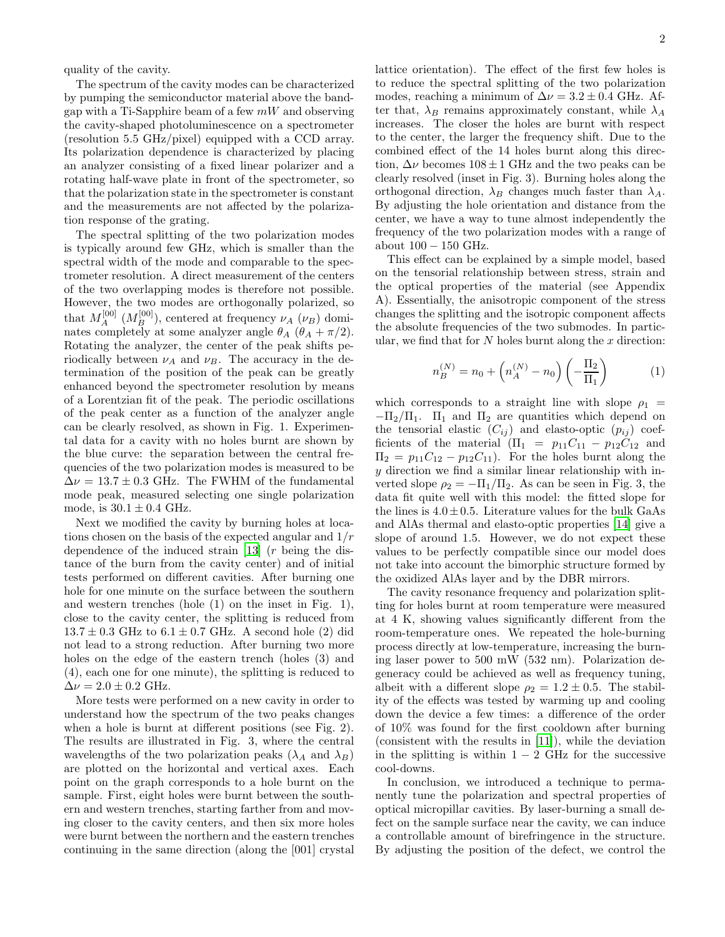quality of the cavity.

The spectrum of the cavity modes can be characterized by pumping the semiconductor material above the bandgap with a Ti-Sapphire beam of a few  $mW$  and observing the cavity-shaped photoluminescence on a spectrometer (resolution 5.5 GHz/pixel) equipped with a CCD array. Its polarization dependence is characterized by placing an analyzer consisting of a fixed linear polarizer and a rotating half-wave plate in front of the spectrometer, so that the polarization state in the spectrometer is constant and the measurements are not affected by the polarization response of the grating.

The spectral splitting of the two polarization modes is typically around few GHz, which is smaller than the spectral width of the mode and comparable to the spectrometer resolution. A direct measurement of the centers of the two overlapping modes is therefore not possible. However, the two modes are orthogonally polarized, so that  $M_A^{[00]}$   $(M_B^{[00]})$ , centered at frequency  $\nu_A$   $(\nu_B)$  dominates completely at some analyzer angle  $\theta_A$  ( $\theta_A + \pi/2$ ). Rotating the analyzer, the center of the peak shifts periodically between  $\nu_A$  and  $\nu_B$ . The accuracy in the determination of the position of the peak can be greatly enhanced beyond the spectrometer resolution by means of a Lorentzian fit of the peak. The periodic oscillations of the peak center as a function of the analyzer angle can be clearly resolved, as shown in Fig. 1. Experimental data for a cavity with no holes burnt are shown by the blue curve: the separation between the central frequencies of the two polarization modes is measured to be  $\Delta \nu = 13.7 \pm 0.3$  GHz. The FWHM of the fundamental mode peak, measured selecting one single polarization mode, is  $30.1 \pm 0.4$  GHz.

Next we modified the cavity by burning holes at locations chosen on the basis of the expected angular and  $1/r$ dependence of the induced strain [\[13](#page-3-12)] (r being the distance of the burn from the cavity center) and of initial tests performed on different cavities. After burning one hole for one minute on the surface between the southern and western trenches (hole (1) on the inset in Fig. 1), close to the cavity center, the splitting is reduced from  $13.7 \pm 0.3$  GHz to  $6.1 \pm 0.7$  GHz. A second hole (2) did not lead to a strong reduction. After burning two more holes on the edge of the eastern trench (holes (3) and (4), each one for one minute), the splitting is reduced to  $\Delta \nu = 2.0 \pm 0.2$  GHz.

More tests were performed on a new cavity in order to understand how the spectrum of the two peaks changes when a hole is burnt at different positions (see Fig. 2). The results are illustrated in Fig. 3, where the central wavelengths of the two polarization peaks  $(\lambda_A \text{ and } \lambda_B)$ are plotted on the horizontal and vertical axes. Each point on the graph corresponds to a hole burnt on the sample. First, eight holes were burnt between the southern and western trenches, starting farther from and moving closer to the cavity centers, and then six more holes were burnt between the northern and the eastern trenches continuing in the same direction (along the [001] crystal lattice orientation). The effect of the first few holes is to reduce the spectral splitting of the two polarization modes, reaching a minimum of  $\Delta \nu = 3.2 \pm 0.4$  GHz. After that,  $\lambda_B$  remains approximately constant, while  $\lambda_A$ increases. The closer the holes are burnt with respect to the center, the larger the frequency shift. Due to the combined effect of the 14 holes burnt along this direction,  $\Delta \nu$  becomes  $108 \pm 1$  GHz and the two peaks can be clearly resolved (inset in Fig. 3). Burning holes along the orthogonal direction,  $\lambda_B$  changes much faster than  $\lambda_A$ . By adjusting the hole orientation and distance from the center, we have a way to tune almost independently the frequency of the two polarization modes with a range of about  $100 - 150$  GHz.

This effect can be explained by a simple model, based on the tensorial relationship between stress, strain and the optical properties of the material (see Appendix A). Essentially, the anisotropic component of the stress changes the splitting and the isotropic component affects the absolute frequencies of the two submodes. In particular, we find that for  $N$  holes burnt along the  $x$  direction:

$$
n_B^{(N)} = n_0 + \left( n_A^{(N)} - n_0 \right) \left( -\frac{\Pi_2}{\Pi_1} \right) \tag{1}
$$

which corresponds to a straight line with slope  $\rho_1$  =  $-\Pi_2/\Pi_1$ .  $\Pi_1$  and  $\Pi_2$  are quantities which depend on the tensorial elastic  $(C_{ij})$  and elasto-optic  $(p_{ij})$  coefficients of the material  $(\Pi_1 = p_{11}C_{11} - p_{12}C_{12}$  and  $\Pi_2 = p_{11}C_{12} - p_{12}C_{11}$ . For the holes burnt along the y direction we find a similar linear relationship with inverted slope  $\rho_2 = -\Pi_1/\Pi_2$ . As can be seen in Fig. 3, the data fit quite well with this model: the fitted slope for the lines is  $4.0 \pm 0.5$ . Literature values for the bulk GaAs and AlAs thermal and elasto-optic properties [\[14\]](#page-3-13) give a slope of around 1.5. However, we do not expect these values to be perfectly compatible since our model does not take into account the bimorphic structure formed by the oxidized AlAs layer and by the DBR mirrors.

The cavity resonance frequency and polarization splitting for holes burnt at room temperature were measured at 4 K, showing values significantly different from the room-temperature ones. We repeated the hole-burning process directly at low-temperature, increasing the burning laser power to 500 mW (532 nm). Polarization degeneracy could be achieved as well as frequency tuning, albeit with a different slope  $\rho_2 = 1.2 \pm 0.5$ . The stability of the effects was tested by warming up and cooling down the device a few times: a difference of the order of 10% was found for the first cooldown after burning (consistent with the results in [\[11\]](#page-3-10)), while the deviation in the splitting is within  $1 - 2$  GHz for the successive cool-downs.

In conclusion, we introduced a technique to permanently tune the polarization and spectral properties of optical micropillar cavities. By laser-burning a small defect on the sample surface near the cavity, we can induce a controllable amount of birefringence in the structure. By adjusting the position of the defect, we control the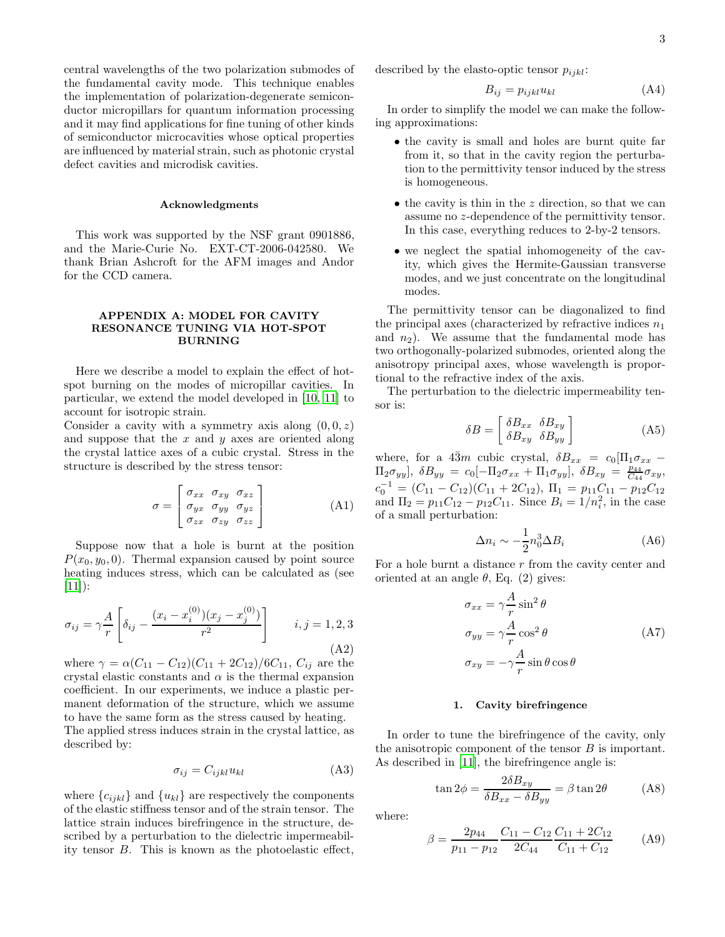central wavelengths of the two polarization submodes of the fundamental cavity mode. This technique enables the implementation of polarization-degenerate semiconductor micropillars for quantum information processing and it may find applications for fine tuning of other kinds of semiconductor microcavities whose optical properties are influenced by material strain, such as photonic crystal defect cavities and microdisk cavities.

### Acknowledgments

This work was supported by the NSF grant 0901886, and the Marie-Curie No. EXT-CT-2006-042580. We thank Brian Ashcroft for the AFM images and Andor for the CCD camera.

### APPENDIX A: MODEL FOR CAVITY RESONANCE TUNING VIA HOT-SPOT BURNING

Here we describe a model to explain the effect of hotspot burning on the modes of micropillar cavities. In particular, we extend the model developed in [\[10,](#page-3-9) [11](#page-3-10)] to account for isotropic strain.

Consider a cavity with a symmetry axis along  $(0, 0, z)$ and suppose that the  $x$  and  $y$  axes are oriented along the crystal lattice axes of a cubic crystal. Stress in the structure is described by the stress tensor:

$$
\sigma = \begin{bmatrix}\n\sigma_{xx} & \sigma_{xy} & \sigma_{xz} \\
\sigma_{yx} & \sigma_{yy} & \sigma_{yz} \\
\sigma_{zx} & \sigma_{zy} & \sigma_{zz}\n\end{bmatrix}
$$
\n(A1)

Suppose now that a hole is burnt at the position  $P(x_0, y_0, 0)$ . Thermal expansion caused by point source heating induces stress, which can be calculated as (see  $[11]$ :

$$
\sigma_{ij} = \gamma \frac{A}{r} \left[ \delta_{ij} - \frac{(x_i - x_i^{(0)})(x_j - x_j^{(0)})}{r^2} \right] \qquad i, j = 1, 2, 3
$$
\n(A2)

where  $\gamma = \alpha (C_{11} - C_{12})(C_{11} + 2C_{12})/6C_{11}$ ,  $C_{ij}$  are the crystal elastic constants and  $\alpha$  is the thermal expansion coefficient. In our experiments, we induce a plastic permanent deformation of the structure, which we assume to have the same form as the stress caused by heating.

The applied stress induces strain in the crystal lattice, as described by:

$$
\sigma_{ij} = C_{ijkl} u_{kl} \tag{A3}
$$

where  ${c_{ijkl}}$  and  ${u_{kl}}$  are respectively the components of the elastic stiffness tensor and of the strain tensor. The lattice strain induces birefringence in the structure, described by a perturbation to the dielectric impermeability tensor B. This is known as the photoelastic effect, described by the elasto-optic tensor  $p_{ijkl}$ :

$$
B_{ij} = p_{ijkl} u_{kl} \tag{A4}
$$

In order to simplify the model we can make the following approximations:

- the cavity is small and holes are burnt quite far from it, so that in the cavity region the perturbation to the permittivity tensor induced by the stress is homogeneous.
- $\bullet$  the cavity is thin in the z direction, so that we can assume no z-dependence of the permittivity tensor. In this case, everything reduces to 2-by-2 tensors.
- we neglect the spatial inhomogeneity of the cavity, which gives the Hermite-Gaussian transverse modes, and we just concentrate on the longitudinal modes.

The permittivity tensor can be diagonalized to find the principal axes (characterized by refractive indices  $n_1$ ) and  $n_2$ ). We assume that the fundamental mode has two orthogonally-polarized submodes, oriented along the anisotropy principal axes, whose wavelength is proportional to the refractive index of the axis.

The perturbation to the dielectric impermeability tensor is:

$$
\delta B = \begin{bmatrix} \delta B_{xx} & \delta B_{xy} \\ \delta B_{xy} & \delta B_{yy} \end{bmatrix}
$$
 (A5)

where, for a  $4\overline{3}m$  cubic crystal,  $\delta B_{xx} = c_0[\Pi_1 \sigma_{xx} \Pi_2 \sigma_{yy}$ ],  $\delta B_{yy} = c_0[-\Pi_2 \sigma_{xx} + \Pi_1 \sigma_{yy}]$ ,  $\delta B_{xy} = \frac{p_{44}}{C_{44}} \sigma_{xy}$ ,  $c_0^{-1} = (C_{11} - C_{12})(C_{11} + 2C_{12}), \ \Pi_1 = p_{11}C_{11} - p_{12}C_{12}$ and  $\Pi_2 = p_{11}C_{12} - p_{12}C_{11}$ . Since  $B_i = 1/n_i^2$ , in the case of a small perturbation:

$$
\Delta n_i \sim -\frac{1}{2} n_0^3 \Delta B_i \tag{A6}
$$

For a hole burnt a distance  $r$  from the cavity center and oriented at an angle  $\theta$ , Eq. (2) gives:

$$
\sigma_{xx} = \gamma \frac{A}{r} \sin^2 \theta
$$
  
\n
$$
\sigma_{yy} = \gamma \frac{A}{r} \cos^2 \theta
$$
 (A7)  
\n
$$
\sigma_{xy} = -\gamma \frac{A}{r} \sin \theta \cos \theta
$$

### 1. Cavity birefringence

In order to tune the birefringence of the cavity, only the anisotropic component of the tensor  $B$  is important. As described in [\[11](#page-3-10)], the birefringence angle is:

$$
\tan 2\phi = \frac{2\delta B_{xy}}{\delta B_{xx} - \delta B_{yy}} = \beta \tan 2\theta
$$
 (A8)

where:

$$
\beta = \frac{2p_{44}}{p_{11} - p_{12}} \frac{C_{11} - C_{12}}{2C_{44}} \frac{C_{11} + 2C_{12}}{C_{11} + C_{12}} \tag{A9}
$$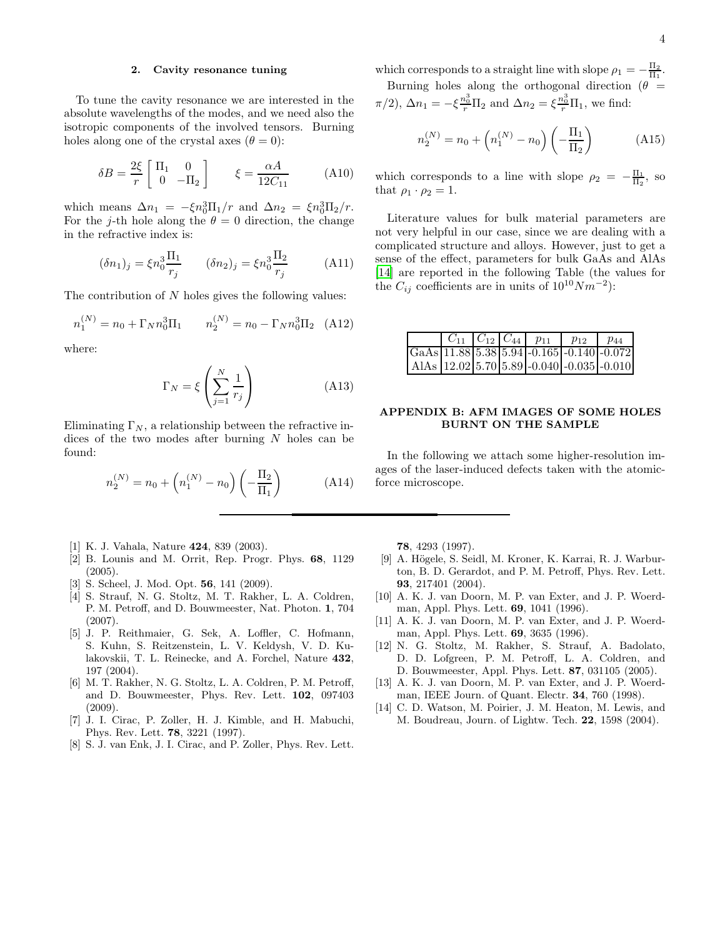## 2. Cavity resonance tuning

To tune the cavity resonance we are interested in the absolute wavelengths of the modes, and we need also the isotropic components of the involved tensors. Burning holes along one of the crystal axes  $(\theta = 0)$ :

$$
\delta B = \frac{2\xi}{r} \begin{bmatrix} \Pi_1 & 0\\ 0 & -\Pi_2 \end{bmatrix} \qquad \xi = \frac{\alpha A}{12C_{11}} \tag{A10}
$$

which means  $\Delta n_1 = -\xi n_0^3 \Pi_1/r$  and  $\Delta n_2 = \xi n_0^3 \Pi_2/r$ . For the j-th hole along the  $\theta = 0$  direction, the change in the refractive index is:

$$
(\delta n_1)_j = \xi n_0^3 \frac{\Pi_1}{r_j} \qquad (\delta n_2)_j = \xi n_0^3 \frac{\Pi_2}{r_j} \qquad (A11)
$$

The contribution of N holes gives the following values:

$$
n_1^{(N)} = n_0 + \Gamma_N n_0^3 \Pi_1 \qquad n_2^{(N)} = n_0 - \Gamma_N n_0^3 \Pi_2 \quad (A12)
$$

where:

$$
\Gamma_N = \xi \left( \sum_{j=1}^N \frac{1}{r_j} \right) \tag{A13}
$$

Eliminating  $\Gamma_N$ , a relationship between the refractive indices of the two modes after burning N holes can be found:

$$
n_2^{(N)} = n_0 + \left( n_1^{(N)} - n_0 \right) \left( -\frac{\Pi_2}{\Pi_1} \right) \tag{A14}
$$

- <span id="page-3-0"></span>[1] K. J. Vahala, Nature 424, 839 (2003).
- <span id="page-3-1"></span>[2] B. Lounis and M. Orrit, Rep. Progr. Phys. 68, 1129 (2005).
- <span id="page-3-2"></span>[3] S. Scheel, J. Mod. Opt. **56**, 141 (2009).
- <span id="page-3-3"></span>[4] S. Strauf, N. G. Stoltz, M. T. Rakher, L. A. Coldren, P. M. Petroff, and D. Bouwmeester, Nat. Photon. 1, 704 (2007).
- <span id="page-3-4"></span>[5] J. P. Reithmaier, G. Sek, A. Loffler, C. Hofmann, S. Kuhn, S. Reitzenstein, L. V. Keldysh, V. D. Kulakovskii, T. L. Reinecke, and A. Forchel, Nature 432, 197 (2004).
- <span id="page-3-5"></span>[6] M. T. Rakher, N. G. Stoltz, L. A. Coldren, P. M. Petroff, and D. Bouwmeester, Phys. Rev. Lett. 102, 097403 (2009).
- <span id="page-3-6"></span>[7] J. I. Cirac, P. Zoller, H. J. Kimble, and H. Mabuchi, Phys. Rev. Lett. 78, 3221 (1997).
- <span id="page-3-7"></span>[8] S. J. van Enk, J. I. Cirac, and P. Zoller, Phys. Rev. Lett.

which corresponds to a straight line with slope  $\rho_1 = -\frac{\Pi_2}{\Pi_1}$ . Burning holes along the orthogonal direction ( $\theta$  =

 $\pi/2$ ,  $\Delta n_1 = -\xi \frac{n_0^3}{r} \Pi_2$  and  $\Delta n_2 = \xi \frac{n_0^3}{r} \Pi_1$ , we find:

$$
n_2^{(N)} = n_0 + \left( n_1^{(N)} - n_0 \right) \left( -\frac{\Pi_1}{\Pi_2} \right) \tag{A15}
$$

which corresponds to a line with slope  $\rho_2 = -\frac{\Pi_1}{\Pi_2}$ , so that  $\rho_1 \cdot \rho_2 = 1$ .

Literature values for bulk material parameters are not very helpful in our case, since we are dealing with a complicated structure and alloys. However, just to get a sense of the effect, parameters for bulk GaAs and AlAs [\[14\]](#page-3-13) are reported in the following Table (the values for the  $C_{ij}$  coefficients are in units of  $10^{10} Nm^{-2}$ ):

|  |  | $C_{11}$ $C_{12}$ $C_{44}$ $p_{11}$ $p_{12}$                                               | $p_{44}$ |
|--|--|--------------------------------------------------------------------------------------------|----------|
|  |  | GaAs $11.88$ 5.38 5.94 -0.165 -0.140 -0.072                                                |          |
|  |  | AlAs $\left  12.02 \right  5.70 \left  5.89 \right  - 0.040 \left  -0.035 \right  - 0.010$ |          |

### APPENDIX B: AFM IMAGES OF SOME HOLES BURNT ON THE SAMPLE

In the following we attach some higher-resolution images of the laser-induced defects taken with the atomicforce microscope.

78, 4293 (1997).

- <span id="page-3-8"></span>[9] A. Högele, S. Seidl, M. Kroner, K. Karrai, R. J. Warburton, B. D. Gerardot, and P. M. Petroff, Phys. Rev. Lett. 93, 217401 (2004).
- <span id="page-3-9"></span>[10] A. K. J. van Doorn, M. P. van Exter, and J. P. Woerdman, Appl. Phys. Lett. 69, 1041 (1996).
- <span id="page-3-10"></span>[11] A. K. J. van Doorn, M. P. van Exter, and J. P. Woerdman, Appl. Phys. Lett. 69, 3635 (1996).
- <span id="page-3-11"></span>[12] N. G. Stoltz, M. Rakher, S. Strauf, A. Badolato, D. D. Lofgreen, P. M. Petroff, L. A. Coldren, and D. Bouwmeester, Appl. Phys. Lett. 87, 031105 (2005).
- <span id="page-3-12"></span>[13] A. K. J. van Doorn, M. P. van Exter, and J. P. Woerdman, IEEE Journ. of Quant. Electr. 34, 760 (1998).
- <span id="page-3-13"></span>[14] C. D. Watson, M. Poirier, J. M. Heaton, M. Lewis, and M. Boudreau, Journ. of Lightw. Tech. 22, 1598 (2004).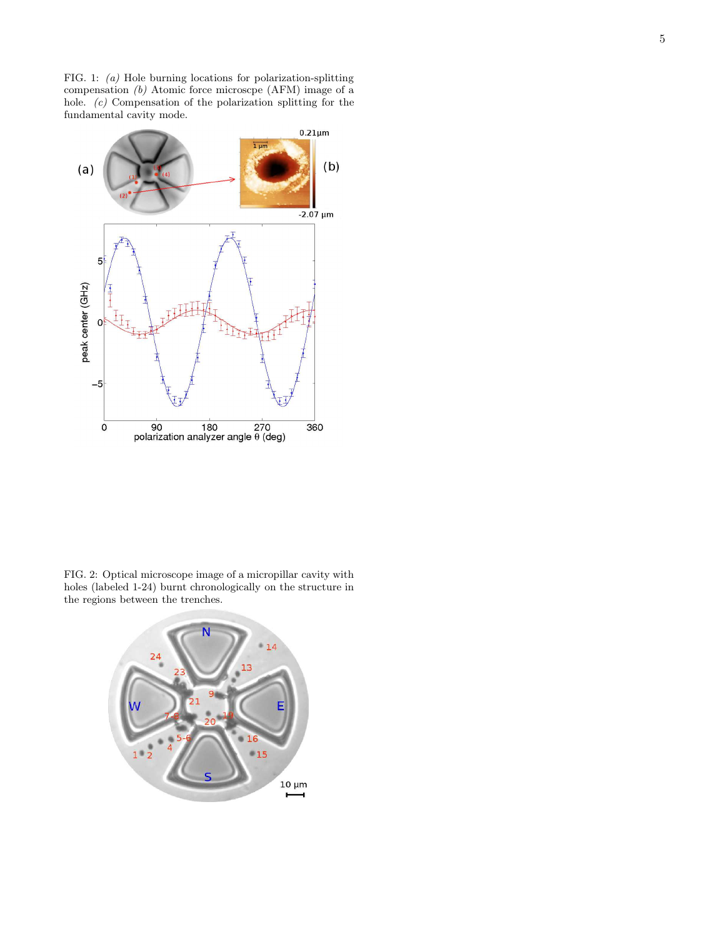FIG. 1: (a) Hole burning locations for polarization-splitting compensation (b) Atomic force microscpe (AFM) image of a hole. (c) Compensation of the polarization splitting for the fundamental cavity mode.



FIG. 2: Optical microscope image of a micropillar cavity with holes (labeled 1-24) burnt chronologically on the structure in the regions between the trenches.

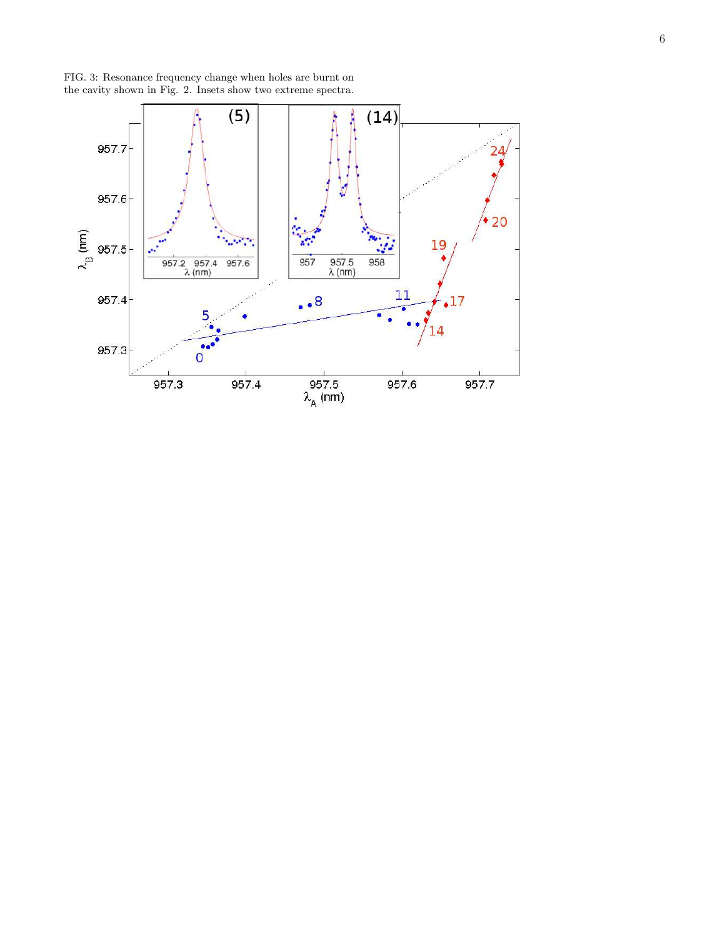